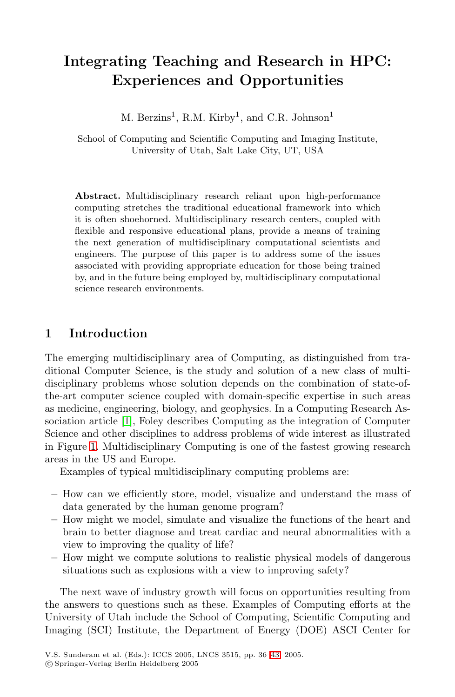# **Integrating Teaching and Research in HPC: Experiences and Opportunities**

M. Berzins<sup>1</sup>, R.M. Kirby<sup>1</sup>, and C.R. Johnson<sup>1</sup>

School of Computing and Scientific Computing and Imaging Institute, University of Utah, Salt Lake City, UT, USA

**Abstract.** Multidisciplinary research reliant upon high-performance computing stretches the traditional educational framework into which it is often shoehorned. Multidisciplinary research centers, coupled with flexible and responsive educational plans, provide a means of training the next generation of multidisciplinary computational scientists and engineers. The purpose of this paper is to address some of the issues associated with providing appropriate education for those being trained by, and in the future being employed by, multidisciplinary computational science research environments.

## <span id="page-0-0"></span>**1 Introduction**

The emerging multidisciplinary area of Computing, as distinguished from traditional Computer Science, is the study and solution of a new class of multidisciplinary problems whose solution depends on the combination of state-ofthe-art computer science coupled with domain-specific expertise in such areas as medicine, engineering, biology, and geophysics. In a Computing Research Association article [\[1\]](#page-7-0), Foley describes Computing as the integration of Computer Science and other disciplines to address problems of wide interest as illustrated in Figure [1.](#page-0-0) Multidisciplinary Computing is one of the fastest growing research areas in the US and Europe.

Examples of typical multidisciplinary computing problems are:

- **–** How can we efficiently store, model, visualize and understand the mass of data generated by the human genome program?
- **–** How might we model, simulate and visualize the functions of the heart and brain to better diagnose and treat cardiac and neural abnormalities with a view to improving the quality of life?
- **–** How might we compute solutions to realistic physical models of dangerous situations such as explosions with a view to improving safety?

The next wave of industry growth will focus on opportunities resulting from the answers to questions such as these. Examples of Computing efforts at the University of Utah include the School of Computing, Scientific Computing and Imaging (SCI) Institute, the Department of Energy (DOE) ASCI Center for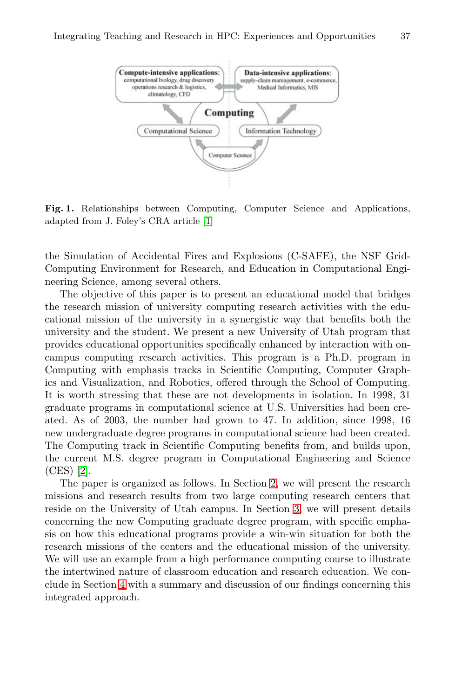



Fig. 1. Relationships between Computing, Computer Science and Applications, adapted from J. Foley's CRA article [\[1\]](#page-7-0)

the Simulation of Accidental Fires and Explosions (C-SAFE), the NSF Grid-Computing Environment for Research, and Education in Computational Engineering Science, among several others.

The objective of this paper is to present an educational model that bridges the research mission of university computing research activities with the educational mission of the university in a synergistic way that benefits both the university and the student. We present a new University of Utah program that provides educational opportunities specifically enhanced by interaction with oncampus computing research activities. This program is a Ph.D. program in Computing with emphasis tracks in Scientific Computing, Computer Graphics and Visualization, and Robotics, offered through the School of Computing. It is worth stressing that these are not developments in isolation. In 1998, 31 graduate programs in computational science at U.S. Universities had been created. As of 2003, the number had grown to 47. In addition, since 1998, 16 new undergraduate degree programs in computational science had been created. The Computing track in Scientific Computing benefits from, and builds upon, the current M.S. degree program in Computational Engineering and Science (CES) [\[2\]](#page-7-2).

<span id="page-1-0"></span>The paper is organized as follows. In Section [2,](#page-1-0) we will present the research missions and research results from two large computing research centers that reside on the University of Utah campus. In Section [3,](#page-4-0) we will present details concerning the new Computing graduate degree program, with specific emphasis on how this educational programs provide a win-win situation for both the research missions of the centers and the educational mission of the university. We will use an example from a high performance computing course to illustrate the intertwined nature of classroom education and research education. We conclude in Section [4](#page-6-0) with a summary and discussion of our findings concerning this integrated approach.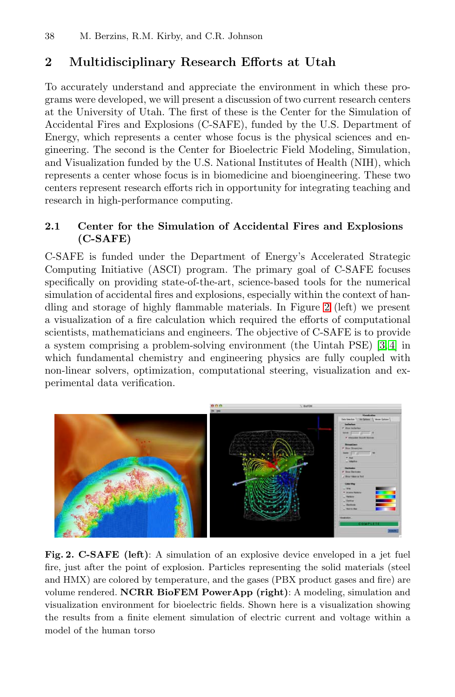## **2 Multidisciplinary Research Efforts at Utah**

To accurately understand and appreciate the environment in which these programs were developed, we will present a discussion of two current research centers at the University of Utah. The first of these is the Center for the Simulation of Accidental Fires and Explosions (C-SAFE), funded by the U.S. Department of Energy, which represents a center whose focus is the physical sciences and engineering. The second is the Center for Bioelectric Field Modeling, Simulation, and Visualization funded by the U.S. National Institutes of Health (NIH), which represents a center whose focus is in biomedicine and bioengineering. These two centers represent research efforts rich in opportunity for integrating teaching and research in high-performance computing.

## **2.1 Center for the Simulation of Accidental Fires and Explosions (C-SAFE)**

C-SAFE is funded under the Department of Energy's Accelerated Strategic Computing Initiative (ASCI) program. The primary goal of C-SAFE focuses specifically on providing state-of-the-art, science-based tools for the numerical simulation of accidental fires and explosions, especially within the context of handling and storage of highly flammable materials. In Figure [2](#page-2-0) (left) we present a visualization of a fire calculation which required the efforts of computational scientists, mathematicians and engineers. The objective of C-SAFE is to provide a system comprising a problem-solving environment (the Uintah PSE) [\[3,](#page-7-3) [4\]](#page-7-4) in which fundamental chemistry and engineering physics are fully coupled with non-linear solvers, optimization, computational steering, visualization and experimental data verification.



<span id="page-2-0"></span>**Fig. 2. C-SAFE (left)**: A simulation of an explosive device enveloped in a jet fuel fire, just after the point of explosion. Particles representing the solid materials (steel and HMX) are colored by temperature, and the gases (PBX product gases and fire) are volume rendered. **NCRR BioFEM PowerApp (right)**: A modeling, simulation and visualization environment for bioelectric fields. Shown here is a visualization showing the results from a finite element simulation of electric current and voltage within a model of the human torso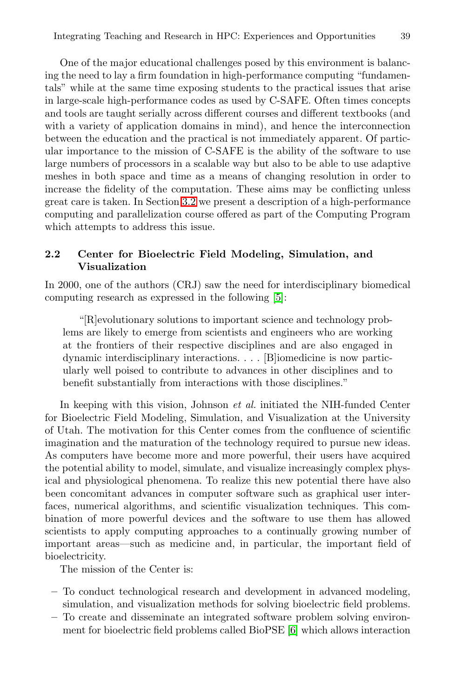One of the major educational challenges posed by this environment is balancing the need to lay a firm foundation in high-performance computing "fundamentals" while at the same time exposing students to the practical issues that arise in large-scale high-performance codes as used by C-SAFE. Often times concepts and tools are taught serially across different courses and different textbooks (and with a variety of application domains in mind), and hence the interconnection between the education and the practical is not immediately apparent. Of particular importance to the mission of C-SAFE is the ability of the software to use large numbers of processors in a scalable way but also to be able to use adaptive meshes in both space and time as a means of changing resolution in order to increase the fidelity of the computation. These aims may be conflicting unless great care is taken. In Section [3.2](#page-5-0) we present a description of a high-performance computing and parallelization course offered as part of the Computing Program which attempts to address this issue.

#### **2.2 Center for Bioelectric Field Modeling, Simulation, and Visualization**

In 2000, one of the authors (CRJ) saw the need for interdisciplinary biomedical computing research as expressed in the following [\[5\]](#page-7-5):

"[R]evolutionary solutions to important science and technology problems are likely to emerge from scientists and engineers who are working at the frontiers of their respective disciplines and are also engaged in dynamic interdisciplinary interactions. . . . [B]iomedicine is now particularly well poised to contribute to advances in other disciplines and to benefit substantially from interactions with those disciplines."

In keeping with this vision, Johnson *et al.* initiated the NIH-funded Center for Bioelectric Field Modeling, Simulation, and Visualization at the University of Utah. The motivation for this Center comes from the confluence of scientific imagination and the maturation of the technology required to pursue new ideas. As computers have become more and more powerful, their users have acquired the potential ability to model, simulate, and visualize increasingly complex physical and physiological phenomena. To realize this new potential there have also been concomitant advances in computer software such as graphical user interfaces, numerical algorithms, and scientific visualization techniques. This combination of more powerful devices and the software to use them has allowed scientists to apply computing approaches to a continually growing number of important areas—such as medicine and, in particular, the important field of bioelectricity.

The mission of the Center is:

- **–** To conduct technological research and development in advanced modeling, simulation, and visualization methods for solving bioelectric field problems.
- **–** To create and disseminate an integrated software problem solving environment for bioelectric field problems called BioPSE [\[6\]](#page-7-6) which allows interaction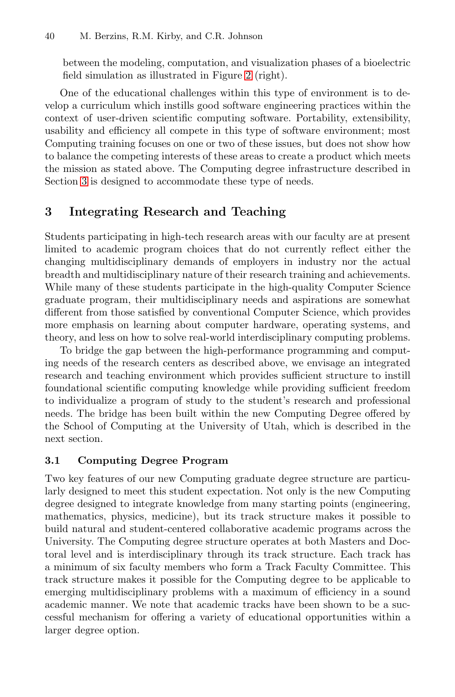between the modeling, computation, and visualization phases of a bioelectric field simulation as illustrated in Figure [2](#page-2-0) (right).

One of the educational challenges within this type of environment is to develop a curriculum which instills good software engineering practices within the context of user-driven scientific computing software. Portability, extensibility, usability and efficiency all compete in this type of software environment; most Computing training focuses on one or two of these issues, but does not show how to balance the competing interests of these areas to create a product which meets the mission as stated above. The Computing degree infrastructure described in Section [3](#page-4-0) is designed to accommodate these type of needs.

## <span id="page-4-0"></span>**3 Integrating Research and Teaching**

Students participating in high-tech research areas with our faculty are at present limited to academic program choices that do not currently reflect either the changing multidisciplinary demands of employers in industry nor the actual breadth and multidisciplinary nature of their research training and achievements. While many of these students participate in the high-quality Computer Science graduate program, their multidisciplinary needs and aspirations are somewhat different from those satisfied by conventional Computer Science, which provides more emphasis on learning about computer hardware, operating systems, and theory, and less on how to solve real-world interdisciplinary computing problems.

To bridge the gap between the high-performance programming and computing needs of the research centers as described above, we envisage an integrated research and teaching environment which provides sufficient structure to instill foundational scientific computing knowledge while providing sufficient freedom to individualize a program of study to the student's research and professional needs. The bridge has been built within the new Computing Degree offered by the School of Computing at the University of Utah, which is described in the next section.

#### **3.1 Computing Degree Program**

Two key features of our new Computing graduate degree structure are particularly designed to meet this student expectation. Not only is the new Computing degree designed to integrate knowledge from many starting points (engineering, mathematics, physics, medicine), but its track structure makes it possible to build natural and student-centered collaborative academic programs across the University. The Computing degree structure operates at both Masters and Doctoral level and is interdisciplinary through its track structure. Each track has a minimum of six faculty members who form a Track Faculty Committee. This track structure makes it possible for the Computing degree to be applicable to emerging multidisciplinary problems with a maximum of efficiency in a sound academic manner. We note that academic tracks have been shown to be a successful mechanism for offering a variety of educational opportunities within a larger degree option.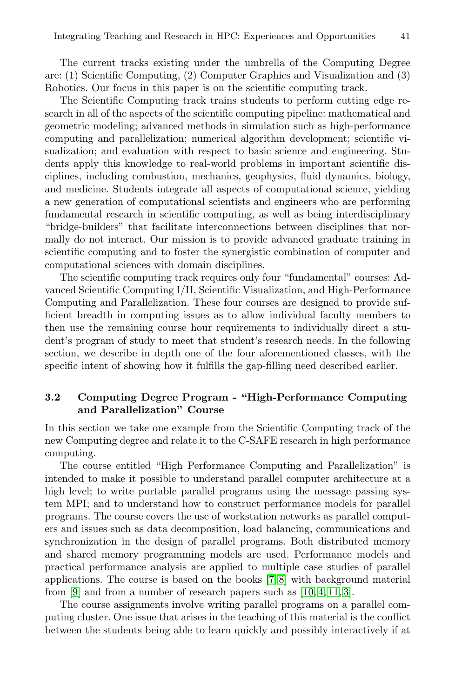The current tracks existing under the umbrella of the Computing Degree are: (1) Scientific Computing, (2) Computer Graphics and Visualization and (3) Robotics. Our focus in this paper is on the scientific computing track.

The Scientific Computing track trains students to perform cutting edge research in all of the aspects of the scientific computing pipeline: mathematical and geometric modeling; advanced methods in simulation such as high-performance computing and parallelization; numerical algorithm development; scientific visualization; and evaluation with respect to basic science and engineering. Students apply this knowledge to real-world problems in important scientific disciplines, including combustion, mechanics, geophysics, fluid dynamics, biology, and medicine. Students integrate all aspects of computational science, yielding a new generation of computational scientists and engineers who are performing fundamental research in scientific computing, as well as being interdisciplinary "bridge-builders" that facilitate interconnections between disciplines that normally do not interact. Our mission is to provide advanced graduate training in scientific computing and to foster the synergistic combination of computer and computational sciences with domain disciplines.

The scientific computing track requires only four "fundamental" courses: Advanced Scientific Computing I/II, Scientific Visualization, and High-Performance Computing and Parallelization. These four courses are designed to provide sufficient breadth in computing issues as to allow individual faculty members to then use the remaining course hour requirements to individually direct a student's program of study to meet that student's research needs. In the following section, we describe in depth one of the four aforementioned classes, with the specific intent of showing how it fulfills the gap-filling need described earlier.

#### <span id="page-5-0"></span>**3.2 Computing Degree Program - "High-Performance Computing and Parallelization" Course**

In this section we take one example from the Scientific Computing track of the new Computing degree and relate it to the C-SAFE research in high performance computing.

The course entitled "High Performance Computing and Parallelization" is intended to make it possible to understand parallel computer architecture at a high level; to write portable parallel programs using the message passing system MPI; and to understand how to construct performance models for parallel programs. The course covers the use of workstation networks as parallel computers and issues such as data decomposition, load balancing, communications and synchronization in the design of parallel programs. Both distributed memory and shared memory programming models are used. Performance models and practical performance analysis are applied to multiple case studies of parallel applications. The course is based on the books [\[7,](#page-7-7) [8\]](#page-7-8) with background material from [\[9\]](#page-7-9) and from a number of research papers such as [\[10,](#page-7-10) [4,](#page-7-4) [11,](#page-7-11) [3\]](#page-7-3).

The course assignments involve writing parallel programs on a parallel computing cluster. One issue that arises in the teaching of this material is the conflict between the students being able to learn quickly and possibly interactively if at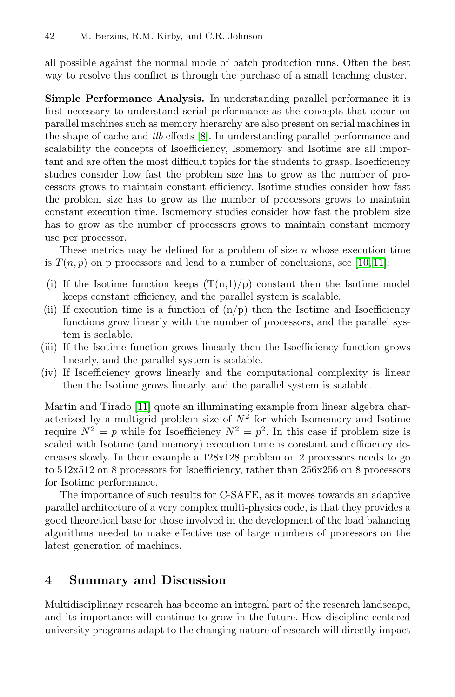all possible against the normal mode of batch production runs. Often the best way to resolve this conflict is through the purchase of a small teaching cluster.

**Simple Performance Analysis.** In understanding parallel performance it is first necessary to understand serial performance as the concepts that occur on parallel machines such as memory hierarchy are also present on serial machines in the shape of cache and *tlb* effects [\[8\]](#page-7-8). In understanding parallel performance and scalability the concepts of Isoefficiency, Isomemory and Isotime are all important and are often the most difficult topics for the students to grasp. Isoefficiency studies consider how fast the problem size has to grow as the number of processors grows to maintain constant efficiency. Isotime studies consider how fast the problem size has to grow as the number of processors grows to maintain constant execution time. Isomemory studies consider how fast the problem size has to grow as the number of processors grows to maintain constant memory use per processor.

These metrics may be defined for a problem of size *n* whose execution time is  $T(n, p)$  on p processors and lead to a number of conclusions, see [\[10,](#page-7-10) [11\]](#page-7-11):

- (i) If the Isotime function keeps  $(T(n,1)/p)$  constant then the Isotime model keeps constant efficiency, and the parallel system is scalable.
- (ii) If execution time is a function of  $(n/p)$  then the Isotime and Isoefficiency functions grow linearly with the number of processors, and the parallel system is scalable.
- (iii) If the Isotime function grows linearly then the Isoefficiency function grows linearly, and the parallel system is scalable.
- (iv) If Isoefficiency grows linearly and the computational complexity is linear then the Isotime grows linearly, and the parallel system is scalable.

Martin and Tirado [\[11\]](#page-7-11) quote an illuminating example from linear algebra characterized by a multigrid problem size of  $N^2$  for which Isomemory and Isotime require  $N^2 = p$  while for Isoefficiency  $N^2 = p^2$ . In this case if problem size is scaled with Isotime (and memory) execution time is constant and efficiency decreases slowly. In their example a 128x128 problem on 2 processors needs to go to 512x512 on 8 processors for Isoefficiency, rather than 256x256 on 8 processors for Isotime performance.

The importance of such results for C-SAFE, as it moves towards an adaptive parallel architecture of a very complex multi-physics code, is that they provides a good theoretical base for those involved in the development of the load balancing algorithms needed to make effective use of large numbers of processors on the latest generation of machines.

#### <span id="page-6-0"></span>**4 Summary and Discussion**

Multidisciplinary research has become an integral part of the research landscape, and its importance will continue to grow in the future. How discipline-centered university programs adapt to the changing nature of research will directly impact